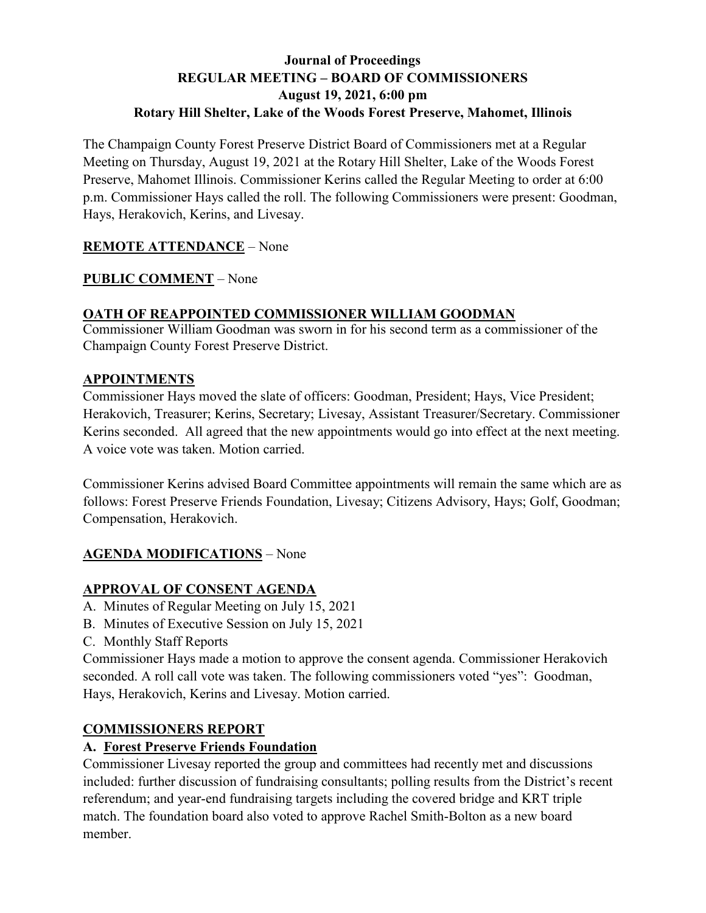# **Journal of Proceedings REGULAR MEETING – BOARD OF COMMISSIONERS August 19, 2021, 6:00 pm Rotary Hill Shelter, Lake of the Woods Forest Preserve, Mahomet, Illinois**

The Champaign County Forest Preserve District Board of Commissioners met at a Regular Meeting on Thursday, August 19, 2021 at the Rotary Hill Shelter, Lake of the Woods Forest Preserve, Mahomet Illinois. Commissioner Kerins called the Regular Meeting to order at 6:00 p.m. Commissioner Hays called the roll. The following Commissioners were present: Goodman, Hays, Herakovich, Kerins, and Livesay.

# **REMOTE ATTENDANCE** – None

### **PUBLIC COMMENT** – None

### **OATH OF REAPPOINTED COMMISSIONER WILLIAM GOODMAN**

Commissioner William Goodman was sworn in for his second term as a commissioner of the Champaign County Forest Preserve District.

### **APPOINTMENTS**

Commissioner Hays moved the slate of officers: Goodman, President; Hays, Vice President; Herakovich, Treasurer; Kerins, Secretary; Livesay, Assistant Treasurer/Secretary. Commissioner Kerins seconded. All agreed that the new appointments would go into effect at the next meeting. A voice vote was taken. Motion carried.

Commissioner Kerins advised Board Committee appointments will remain the same which are as follows: Forest Preserve Friends Foundation, Livesay; Citizens Advisory, Hays; Golf, Goodman; Compensation, Herakovich.

# **AGENDA MODIFICATIONS** – None

# **APPROVAL OF CONSENT AGENDA**

- A. Minutes of Regular Meeting on July 15, 2021
- B. Minutes of Executive Session on July 15, 2021
- C. Monthly Staff Reports

Commissioner Hays made a motion to approve the consent agenda. Commissioner Herakovich seconded. A roll call vote was taken. The following commissioners voted "yes": Goodman, Hays, Herakovich, Kerins and Livesay. Motion carried.

### **COMMISSIONERS REPORT**

# **A. Forest Preserve Friends Foundation**

Commissioner Livesay reported the group and committees had recently met and discussions included: further discussion of fundraising consultants; polling results from the District's recent referendum; and year-end fundraising targets including the covered bridge and KRT triple match. The foundation board also voted to approve Rachel Smith-Bolton as a new board member.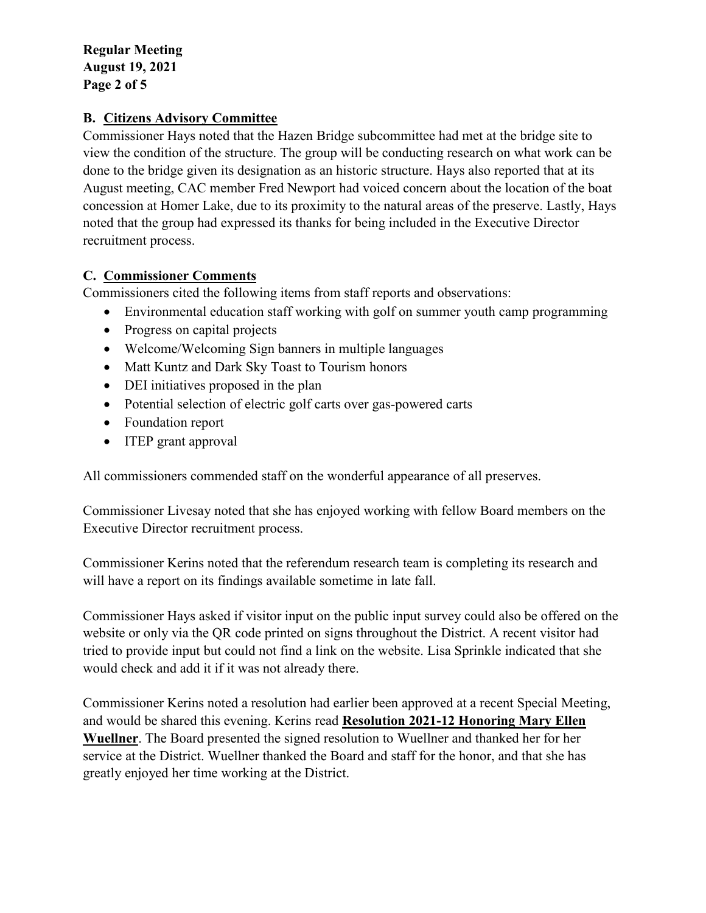**Regular Meeting August 19, 2021 Page 2 of 5**

### **B. Citizens Advisory Committee**

Commissioner Hays noted that the Hazen Bridge subcommittee had met at the bridge site to view the condition of the structure. The group will be conducting research on what work can be done to the bridge given its designation as an historic structure. Hays also reported that at its August meeting, CAC member Fred Newport had voiced concern about the location of the boat concession at Homer Lake, due to its proximity to the natural areas of the preserve. Lastly, Hays noted that the group had expressed its thanks for being included in the Executive Director recruitment process.

### **C. Commissioner Comments**

Commissioners cited the following items from staff reports and observations:

- Environmental education staff working with golf on summer youth camp programming
- Progress on capital projects
- Welcome/Welcoming Sign banners in multiple languages
- Matt Kuntz and Dark Sky Toast to Tourism honors
- DEI initiatives proposed in the plan
- Potential selection of electric golf carts over gas-powered carts
- Foundation report
- ITEP grant approval

All commissioners commended staff on the wonderful appearance of all preserves.

Commissioner Livesay noted that she has enjoyed working with fellow Board members on the Executive Director recruitment process.

Commissioner Kerins noted that the referendum research team is completing its research and will have a report on its findings available sometime in late fall.

Commissioner Hays asked if visitor input on the public input survey could also be offered on the website or only via the QR code printed on signs throughout the District. A recent visitor had tried to provide input but could not find a link on the website. Lisa Sprinkle indicated that she would check and add it if it was not already there.

Commissioner Kerins noted a resolution had earlier been approved at a recent Special Meeting, and would be shared this evening. Kerins read **Resolution 2021-12 Honoring Mary Ellen Wuellner**. The Board presented the signed resolution to Wuellner and thanked her for her service at the District. Wuellner thanked the Board and staff for the honor, and that she has greatly enjoyed her time working at the District.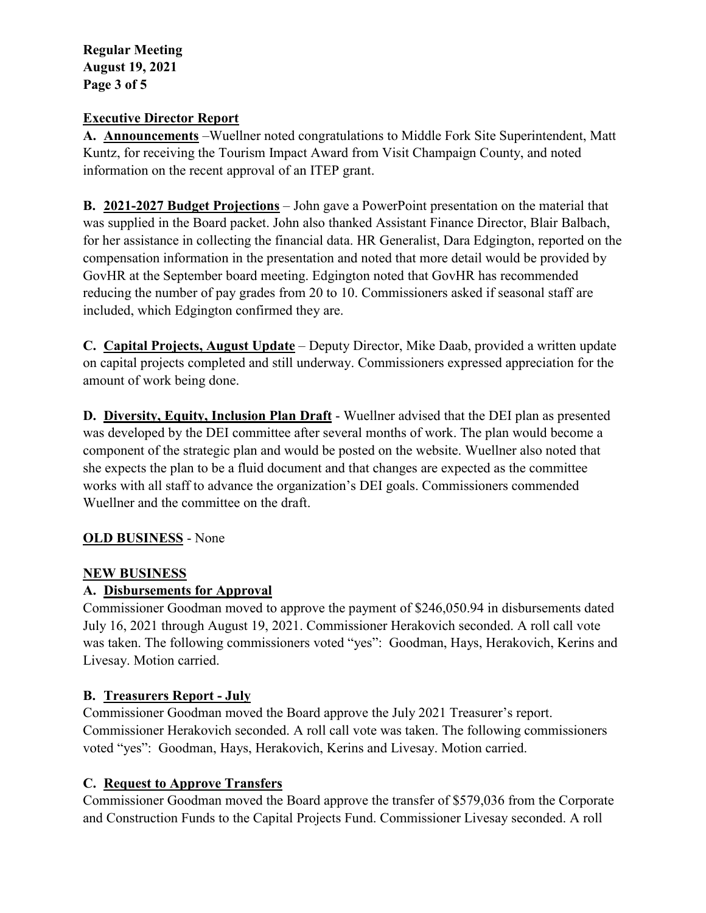**Regular Meeting August 19, 2021 Page 3 of 5**

### **Executive Director Report**

**A. Announcements** –Wuellner noted congratulations to Middle Fork Site Superintendent, Matt Kuntz, for receiving the Tourism Impact Award from Visit Champaign County, and noted information on the recent approval of an ITEP grant.

**B. 2021-2027 Budget Projections** – John gave a PowerPoint presentation on the material that was supplied in the Board packet. John also thanked Assistant Finance Director, Blair Balbach, for her assistance in collecting the financial data. HR Generalist, Dara Edgington, reported on the compensation information in the presentation and noted that more detail would be provided by GovHR at the September board meeting. Edgington noted that GovHR has recommended reducing the number of pay grades from 20 to 10. Commissioners asked if seasonal staff are included, which Edgington confirmed they are.

**C. Capital Projects, August Update** – Deputy Director, Mike Daab, provided a written update on capital projects completed and still underway. Commissioners expressed appreciation for the amount of work being done.

**D. Diversity, Equity, Inclusion Plan Draft** - Wuellner advised that the DEI plan as presented was developed by the DEI committee after several months of work. The plan would become a component of the strategic plan and would be posted on the website. Wuellner also noted that she expects the plan to be a fluid document and that changes are expected as the committee works with all staff to advance the organization's DEI goals. Commissioners commended Wuellner and the committee on the draft.

# **OLD BUSINESS** - None

# **NEW BUSINESS**

# **A. Disbursements for Approval**

Commissioner Goodman moved to approve the payment of \$246,050.94 in disbursements dated July 16, 2021 through August 19, 2021. Commissioner Herakovich seconded. A roll call vote was taken. The following commissioners voted "yes": Goodman, Hays, Herakovich, Kerins and Livesay. Motion carried.

# **B. Treasurers Report - July**

Commissioner Goodman moved the Board approve the July 2021 Treasurer's report. Commissioner Herakovich seconded. A roll call vote was taken. The following commissioners voted "yes": Goodman, Hays, Herakovich, Kerins and Livesay. Motion carried.

# **C. Request to Approve Transfers**

Commissioner Goodman moved the Board approve the transfer of \$579,036 from the Corporate and Construction Funds to the Capital Projects Fund. Commissioner Livesay seconded. A roll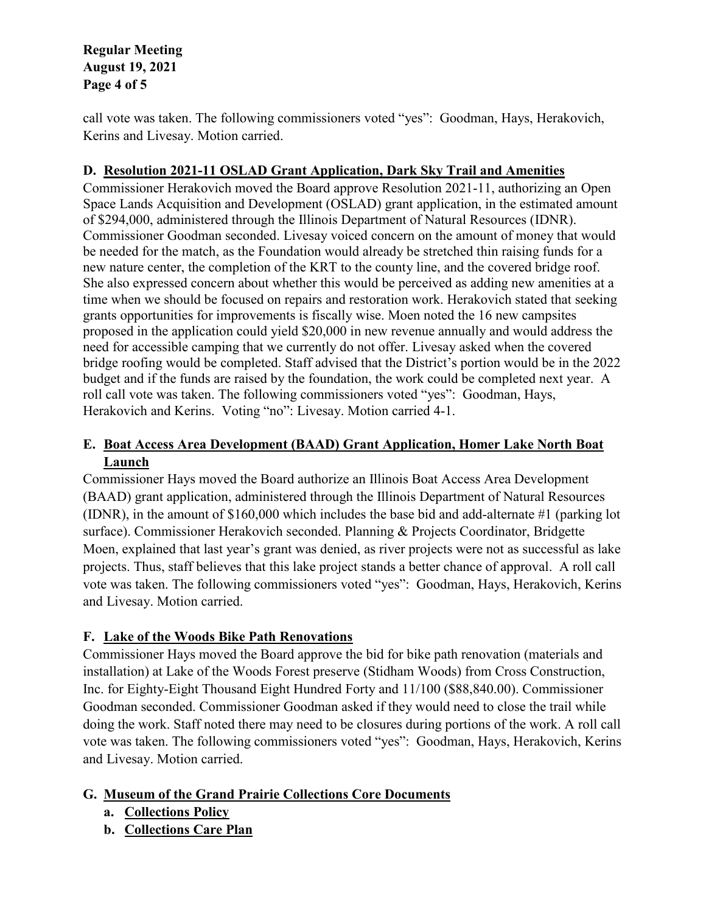**Regular Meeting August 19, 2021 Page 4 of 5**

call vote was taken. The following commissioners voted "yes": Goodman, Hays, Herakovich, Kerins and Livesay. Motion carried.

### **D. Resolution 2021-11 OSLAD Grant Application, Dark Sky Trail and Amenities**

Commissioner Herakovich moved the Board approve Resolution 2021-11, authorizing an Open Space Lands Acquisition and Development (OSLAD) grant application, in the estimated amount of \$294,000, administered through the Illinois Department of Natural Resources (IDNR). Commissioner Goodman seconded. Livesay voiced concern on the amount of money that would be needed for the match, as the Foundation would already be stretched thin raising funds for a new nature center, the completion of the KRT to the county line, and the covered bridge roof. She also expressed concern about whether this would be perceived as adding new amenities at a time when we should be focused on repairs and restoration work. Herakovich stated that seeking grants opportunities for improvements is fiscally wise. Moen noted the 16 new campsites proposed in the application could yield \$20,000 in new revenue annually and would address the need for accessible camping that we currently do not offer. Livesay asked when the covered bridge roofing would be completed. Staff advised that the District's portion would be in the 2022 budget and if the funds are raised by the foundation, the work could be completed next year. A roll call vote was taken. The following commissioners voted "yes": Goodman, Hays, Herakovich and Kerins. Voting "no": Livesay. Motion carried 4-1.

### **E. Boat Access Area Development (BAAD) Grant Application, Homer Lake North Boat Launch**

Commissioner Hays moved the Board authorize an Illinois Boat Access Area Development (BAAD) grant application, administered through the Illinois Department of Natural Resources (IDNR), in the amount of \$160,000 which includes the base bid and add-alternate #1 (parking lot surface). Commissioner Herakovich seconded. Planning & Projects Coordinator, Bridgette Moen, explained that last year's grant was denied, as river projects were not as successful as lake projects. Thus, staff believes that this lake project stands a better chance of approval. A roll call vote was taken. The following commissioners voted "yes": Goodman, Hays, Herakovich, Kerins and Livesay. Motion carried.

# **F. Lake of the Woods Bike Path Renovations**

Commissioner Hays moved the Board approve the bid for bike path renovation (materials and installation) at Lake of the Woods Forest preserve (Stidham Woods) from Cross Construction, Inc. for Eighty-Eight Thousand Eight Hundred Forty and 11/100 (\$88,840.00). Commissioner Goodman seconded. Commissioner Goodman asked if they would need to close the trail while doing the work. Staff noted there may need to be closures during portions of the work. A roll call vote was taken. The following commissioners voted "yes": Goodman, Hays, Herakovich, Kerins and Livesay. Motion carried.

# **G. Museum of the Grand Prairie Collections Core Documents**

- **a. Collections Policy**
- **b. Collections Care Plan**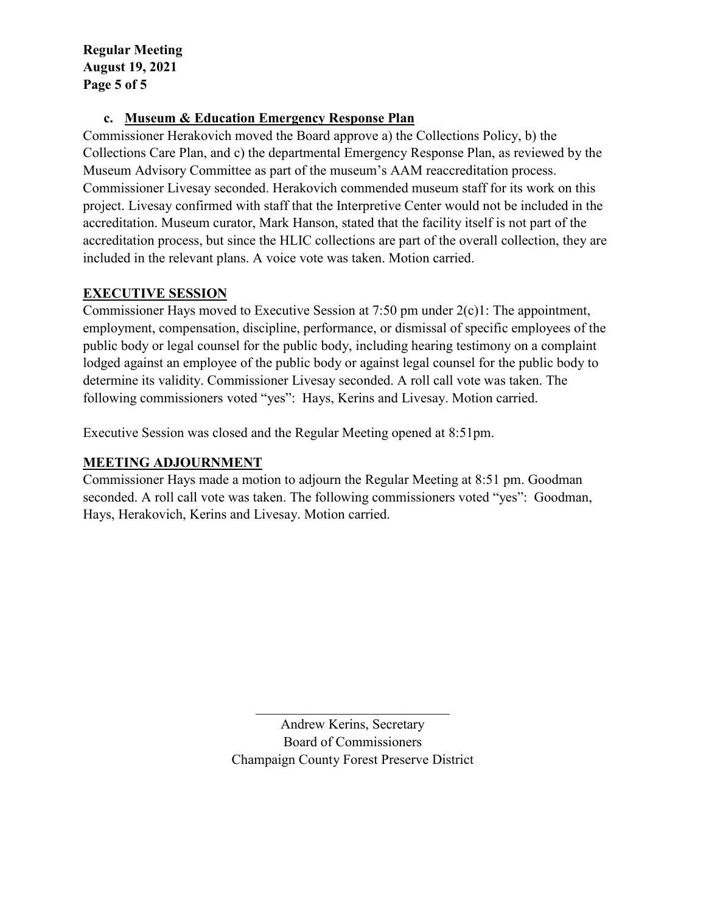**Regular Meeting August 19, 2021 Page 5 of 5**

### **c. Museum & Education Emergency Response Plan**

Commissioner Herakovich moved the Board approve a) the Collections Policy, b) the Collections Care Plan, and c) the departmental Emergency Response Plan, as reviewed by the Museum Advisory Committee as part of the museum's AAM reaccreditation process. Commissioner Livesay seconded. Herakovich commended museum staff for its work on this project. Livesay confirmed with staff that the Interpretive Center would not be included in the accreditation. Museum curator, Mark Hanson, stated that the facility itself is not part of the accreditation process, but since the HLIC collections are part of the overall collection, they are included in the relevant plans. A voice vote was taken. Motion carried.

#### **EXECUTIVE SESSION**

Commissioner Hays moved to Executive Session at 7:50 pm under 2(c)1: The appointment, employment, compensation, discipline, performance, or dismissal of specific employees of the public body or legal counsel for the public body, including hearing testimony on a complaint lodged against an employee of the public body or against legal counsel for the public body to determine its validity. Commissioner Livesay seconded. A roll call vote was taken. The following commissioners voted "yes": Hays, Kerins and Livesay. Motion carried.

Executive Session was closed and the Regular Meeting opened at 8:51pm.

### **MEETING ADJOURNMENT**

Commissioner Hays made a motion to adjourn the Regular Meeting at 8:51 pm. Goodman seconded. A roll call vote was taken. The following commissioners voted "yes": Goodman, Hays, Herakovich, Kerins and Livesay. Motion carried.

> Andrew Kerins, Secretary Board of Commissioners Champaign County Forest Preserve District

 $\mathcal{L}_\mathcal{L}$  , which is a set of the set of the set of the set of the set of the set of the set of the set of the set of the set of the set of the set of the set of the set of the set of the set of the set of the set of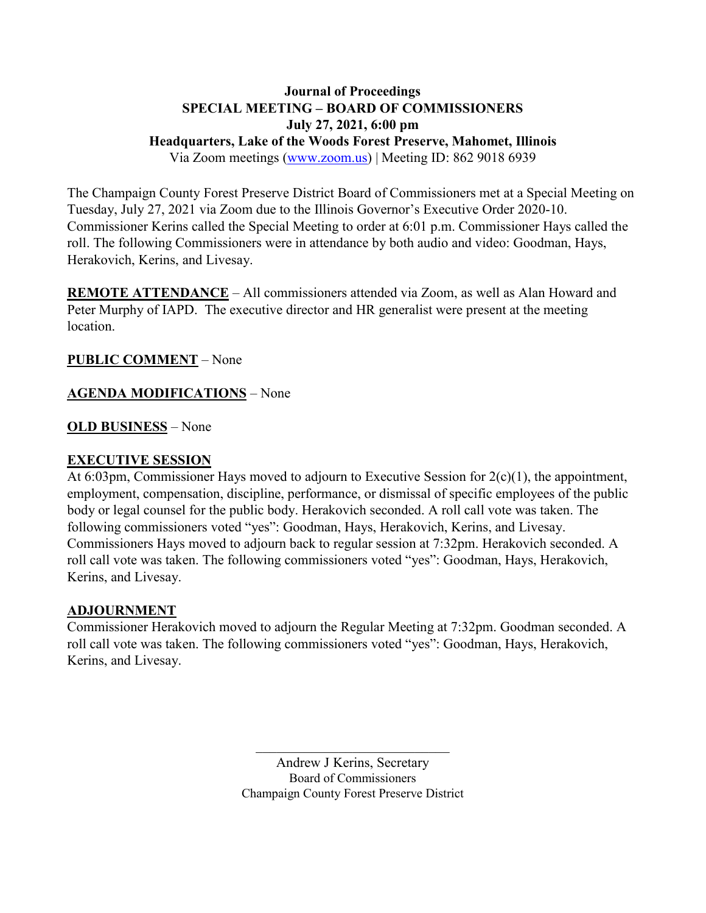### **Journal of Proceedings SPECIAL MEETING – BOARD OF COMMISSIONERS July 27, 2021, 6:00 pm Headquarters, Lake of the Woods Forest Preserve, Mahomet, Illinois** Via Zoom meetings [\(www.zoom.us\)](http://www.zoom.us/) | Meeting ID: 862 9018 6939

The Champaign County Forest Preserve District Board of Commissioners met at a Special Meeting on Tuesday, July 27, 2021 via Zoom due to the Illinois Governor's Executive Order 2020-10. Commissioner Kerins called the Special Meeting to order at 6:01 p.m. Commissioner Hays called the roll. The following Commissioners were in attendance by both audio and video: Goodman, Hays, Herakovich, Kerins, and Livesay.

**REMOTE ATTENDANCE** – All commissioners attended via Zoom, as well as Alan Howard and Peter Murphy of IAPD. The executive director and HR generalist were present at the meeting location.

### **PUBLIC COMMENT** – None

### **AGENDA MODIFICATIONS** – None

### **OLD BUSINESS** – None

### **EXECUTIVE SESSION**

At 6:03pm, Commissioner Hays moved to adjourn to Executive Session for 2(c)(1), the appointment, employment, compensation, discipline, performance, or dismissal of specific employees of the public body or legal counsel for the public body. Herakovich seconded. A roll call vote was taken. The following commissioners voted "yes": Goodman, Hays, Herakovich, Kerins, and Livesay. Commissioners Hays moved to adjourn back to regular session at 7:32pm. Herakovich seconded. A roll call vote was taken. The following commissioners voted "yes": Goodman, Hays, Herakovich, Kerins, and Livesay.

### **ADJOURNMENT**

Commissioner Herakovich moved to adjourn the Regular Meeting at 7:32pm. Goodman seconded. A roll call vote was taken. The following commissioners voted "yes": Goodman, Hays, Herakovich, Kerins, and Livesay.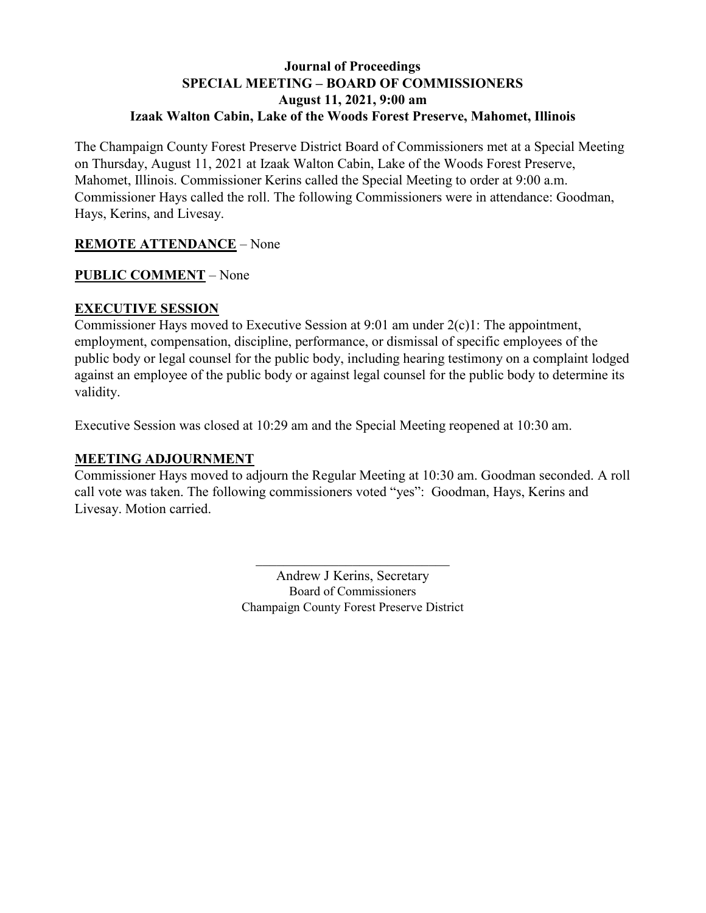### **Journal of Proceedings SPECIAL MEETING – BOARD OF COMMISSIONERS August 11, 2021, 9:00 am Izaak Walton Cabin, Lake of the Woods Forest Preserve, Mahomet, Illinois**

The Champaign County Forest Preserve District Board of Commissioners met at a Special Meeting on Thursday, August 11, 2021 at Izaak Walton Cabin, Lake of the Woods Forest Preserve, Mahomet, Illinois. Commissioner Kerins called the Special Meeting to order at 9:00 a.m. Commissioner Hays called the roll. The following Commissioners were in attendance: Goodman, Hays, Kerins, and Livesay.

### **REMOTE ATTENDANCE** – None

### **PUBLIC COMMENT** – None

### **EXECUTIVE SESSION**

Commissioner Hays moved to Executive Session at 9:01 am under 2(c)1: The appointment, employment, compensation, discipline, performance, or dismissal of specific employees of the public body or legal counsel for the public body, including hearing testimony on a complaint lodged against an employee of the public body or against legal counsel for the public body to determine its validity.

Executive Session was closed at 10:29 am and the Special Meeting reopened at 10:30 am.

### **MEETING ADJOURNMENT**

Commissioner Hays moved to adjourn the Regular Meeting at 10:30 am. Goodman seconded. A roll call vote was taken. The following commissioners voted "yes": Goodman, Hays, Kerins and Livesay. Motion carried.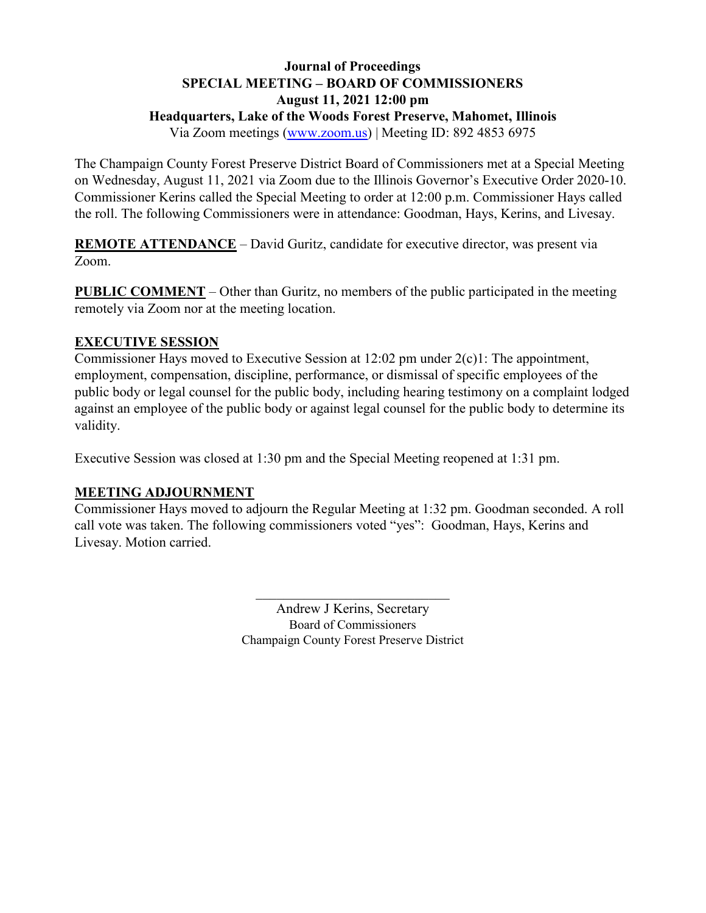# **Journal of Proceedings SPECIAL MEETING – BOARD OF COMMISSIONERS August 11, 2021 12:00 pm Headquarters, Lake of the Woods Forest Preserve, Mahomet, Illinois**

Via Zoom meetings [\(www.zoom.us\)](http://www.zoom.us/) | Meeting ID: 892 4853 6975

The Champaign County Forest Preserve District Board of Commissioners met at a Special Meeting on Wednesday, August 11, 2021 via Zoom due to the Illinois Governor's Executive Order 2020-10. Commissioner Kerins called the Special Meeting to order at 12:00 p.m. Commissioner Hays called the roll. The following Commissioners were in attendance: Goodman, Hays, Kerins, and Livesay.

**REMOTE ATTENDANCE** – David Guritz, candidate for executive director, was present via Zoom.

**PUBLIC COMMENT** – Other than Guritz, no members of the public participated in the meeting remotely via Zoom nor at the meeting location.

### **EXECUTIVE SESSION**

Commissioner Hays moved to Executive Session at 12:02 pm under 2(c)1: The appointment, employment, compensation, discipline, performance, or dismissal of specific employees of the public body or legal counsel for the public body, including hearing testimony on a complaint lodged against an employee of the public body or against legal counsel for the public body to determine its validity.

Executive Session was closed at 1:30 pm and the Special Meeting reopened at 1:31 pm.

# **MEETING ADJOURNMENT**

Commissioner Hays moved to adjourn the Regular Meeting at 1:32 pm. Goodman seconded. A roll call vote was taken. The following commissioners voted "yes": Goodman, Hays, Kerins and Livesay. Motion carried.

> Andrew J Kerins, Secretary Board of Commissioners Champaign County Forest Preserve District

 $\mathcal{L}_\mathcal{L}$  , which is a set of the set of the set of the set of the set of the set of the set of the set of the set of the set of the set of the set of the set of the set of the set of the set of the set of the set of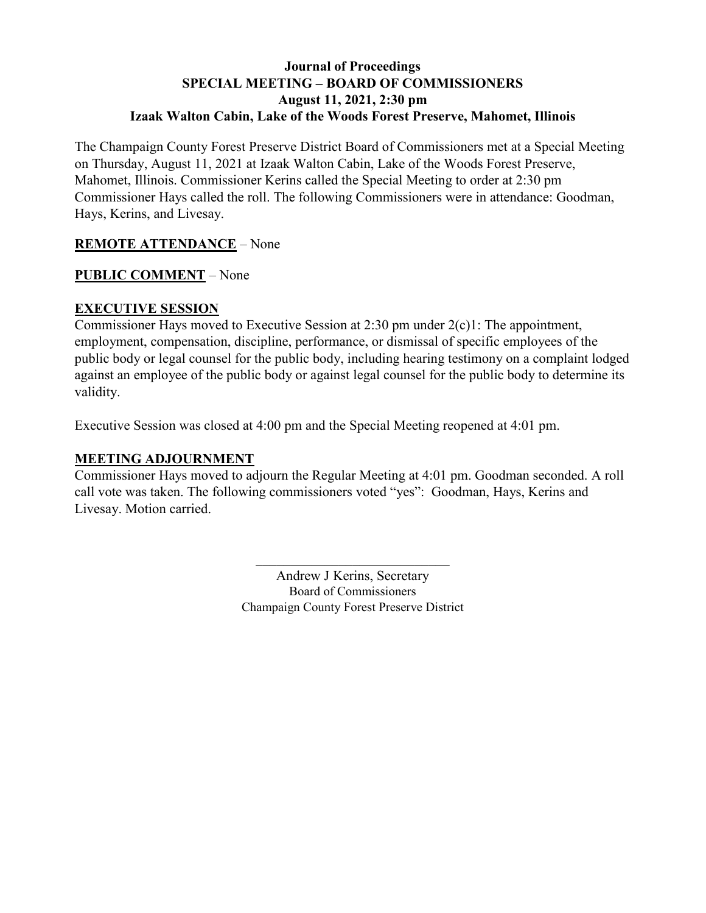### **Journal of Proceedings SPECIAL MEETING – BOARD OF COMMISSIONERS August 11, 2021, 2:30 pm Izaak Walton Cabin, Lake of the Woods Forest Preserve, Mahomet, Illinois**

The Champaign County Forest Preserve District Board of Commissioners met at a Special Meeting on Thursday, August 11, 2021 at Izaak Walton Cabin, Lake of the Woods Forest Preserve, Mahomet, Illinois. Commissioner Kerins called the Special Meeting to order at 2:30 pm Commissioner Hays called the roll. The following Commissioners were in attendance: Goodman, Hays, Kerins, and Livesay.

### **REMOTE ATTENDANCE** – None

### **PUBLIC COMMENT** – None

### **EXECUTIVE SESSION**

Commissioner Hays moved to Executive Session at 2:30 pm under 2(c)1: The appointment, employment, compensation, discipline, performance, or dismissal of specific employees of the public body or legal counsel for the public body, including hearing testimony on a complaint lodged against an employee of the public body or against legal counsel for the public body to determine its validity.

Executive Session was closed at 4:00 pm and the Special Meeting reopened at 4:01 pm.

### **MEETING ADJOURNMENT**

Commissioner Hays moved to adjourn the Regular Meeting at 4:01 pm. Goodman seconded. A roll call vote was taken. The following commissioners voted "yes": Goodman, Hays, Kerins and Livesay. Motion carried.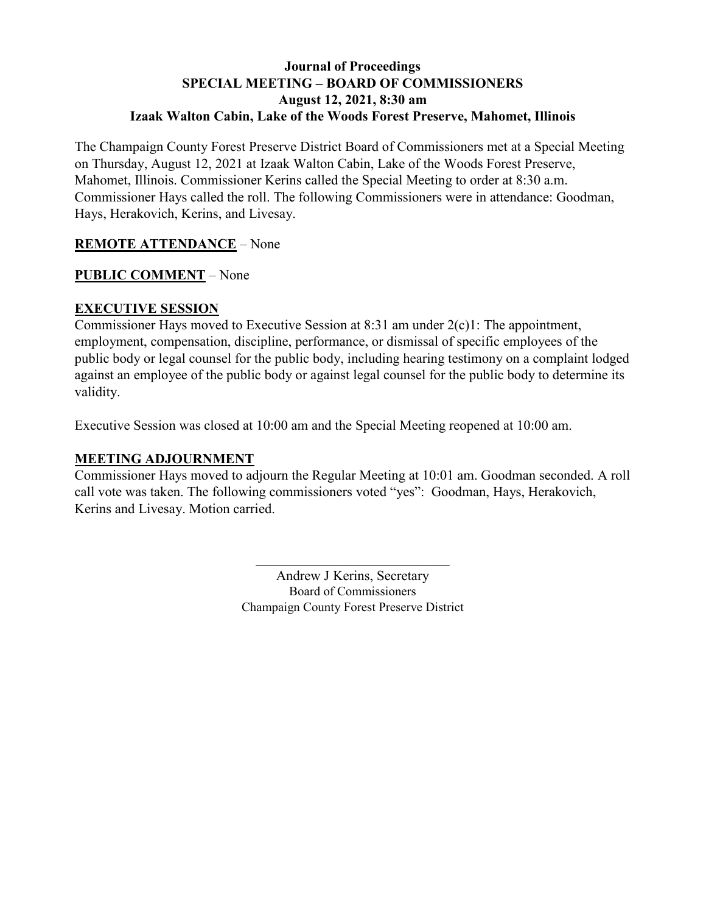### **Journal of Proceedings SPECIAL MEETING – BOARD OF COMMISSIONERS August 12, 2021, 8:30 am Izaak Walton Cabin, Lake of the Woods Forest Preserve, Mahomet, Illinois**

The Champaign County Forest Preserve District Board of Commissioners met at a Special Meeting on Thursday, August 12, 2021 at Izaak Walton Cabin, Lake of the Woods Forest Preserve, Mahomet, Illinois. Commissioner Kerins called the Special Meeting to order at 8:30 a.m. Commissioner Hays called the roll. The following Commissioners were in attendance: Goodman, Hays, Herakovich, Kerins, and Livesay.

### **REMOTE ATTENDANCE** – None

### **PUBLIC COMMENT** – None

### **EXECUTIVE SESSION**

Commissioner Hays moved to Executive Session at 8:31 am under 2(c)1: The appointment, employment, compensation, discipline, performance, or dismissal of specific employees of the public body or legal counsel for the public body, including hearing testimony on a complaint lodged against an employee of the public body or against legal counsel for the public body to determine its validity.

Executive Session was closed at 10:00 am and the Special Meeting reopened at 10:00 am.

### **MEETING ADJOURNMENT**

Commissioner Hays moved to adjourn the Regular Meeting at 10:01 am. Goodman seconded. A roll call vote was taken. The following commissioners voted "yes": Goodman, Hays, Herakovich, Kerins and Livesay. Motion carried.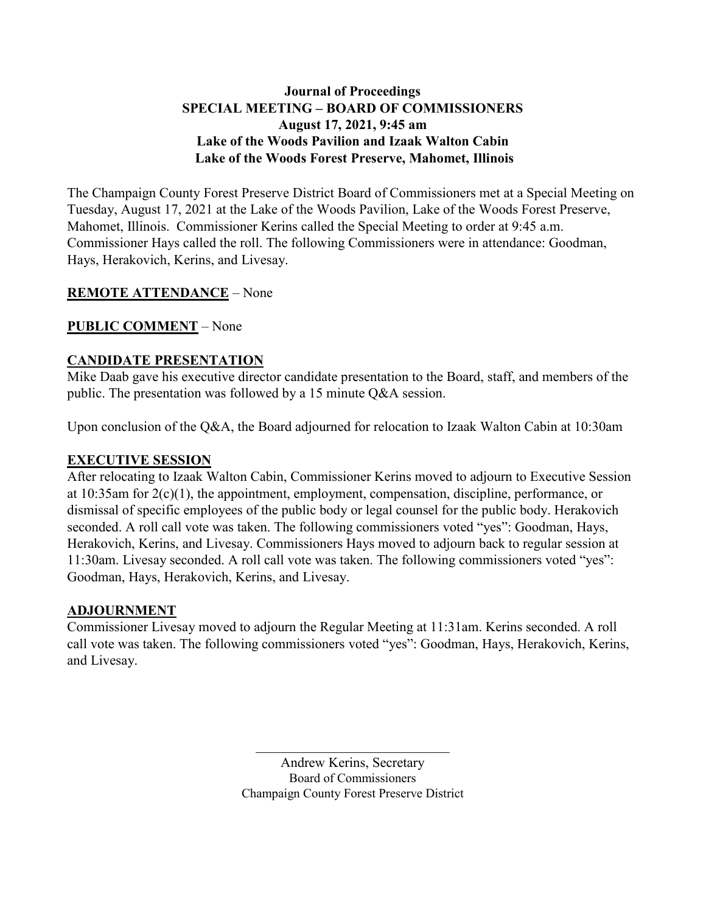### **Journal of Proceedings SPECIAL MEETING – BOARD OF COMMISSIONERS August 17, 2021, 9:45 am Lake of the Woods Pavilion and Izaak Walton Cabin Lake of the Woods Forest Preserve, Mahomet, Illinois**

The Champaign County Forest Preserve District Board of Commissioners met at a Special Meeting on Tuesday, August 17, 2021 at the Lake of the Woods Pavilion, Lake of the Woods Forest Preserve, Mahomet, Illinois. Commissioner Kerins called the Special Meeting to order at 9:45 a.m. Commissioner Hays called the roll. The following Commissioners were in attendance: Goodman, Hays, Herakovich, Kerins, and Livesay.

### **REMOTE ATTENDANCE** – None

# **PUBLIC COMMENT** – None

### **CANDIDATE PRESENTATION**

Mike Daab gave his executive director candidate presentation to the Board, staff, and members of the public. The presentation was followed by a 15 minute Q&A session.

Upon conclusion of the Q&A, the Board adjourned for relocation to Izaak Walton Cabin at 10:30am

### **EXECUTIVE SESSION**

After relocating to Izaak Walton Cabin, Commissioner Kerins moved to adjourn to Executive Session at 10:35am for 2(c)(1), the appointment, employment, compensation, discipline, performance, or dismissal of specific employees of the public body or legal counsel for the public body. Herakovich seconded. A roll call vote was taken. The following commissioners voted "yes": Goodman, Hays, Herakovich, Kerins, and Livesay. Commissioners Hays moved to adjourn back to regular session at 11:30am. Livesay seconded. A roll call vote was taken. The following commissioners voted "yes": Goodman, Hays, Herakovich, Kerins, and Livesay.

### **ADJOURNMENT**

Commissioner Livesay moved to adjourn the Regular Meeting at 11:31am. Kerins seconded. A roll call vote was taken. The following commissioners voted "yes": Goodman, Hays, Herakovich, Kerins, and Livesay.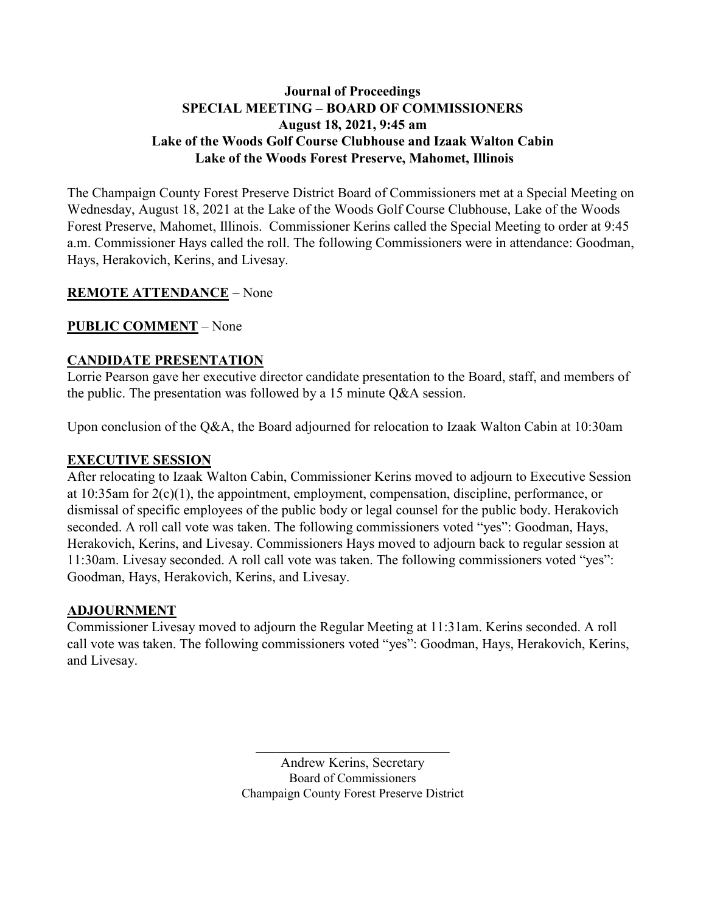### **Journal of Proceedings SPECIAL MEETING – BOARD OF COMMISSIONERS August 18, 2021, 9:45 am Lake of the Woods Golf Course Clubhouse and Izaak Walton Cabin Lake of the Woods Forest Preserve, Mahomet, Illinois**

The Champaign County Forest Preserve District Board of Commissioners met at a Special Meeting on Wednesday, August 18, 2021 at the Lake of the Woods Golf Course Clubhouse, Lake of the Woods Forest Preserve, Mahomet, Illinois. Commissioner Kerins called the Special Meeting to order at 9:45 a.m. Commissioner Hays called the roll. The following Commissioners were in attendance: Goodman, Hays, Herakovich, Kerins, and Livesay.

### **REMOTE ATTENDANCE** – None

# **PUBLIC COMMENT** – None

### **CANDIDATE PRESENTATION**

Lorrie Pearson gave her executive director candidate presentation to the Board, staff, and members of the public. The presentation was followed by a 15 minute Q&A session.

Upon conclusion of the Q&A, the Board adjourned for relocation to Izaak Walton Cabin at 10:30am

#### **EXECUTIVE SESSION**

After relocating to Izaak Walton Cabin, Commissioner Kerins moved to adjourn to Executive Session at 10:35am for 2(c)(1), the appointment, employment, compensation, discipline, performance, or dismissal of specific employees of the public body or legal counsel for the public body. Herakovich seconded. A roll call vote was taken. The following commissioners voted "yes": Goodman, Hays, Herakovich, Kerins, and Livesay. Commissioners Hays moved to adjourn back to regular session at 11:30am. Livesay seconded. A roll call vote was taken. The following commissioners voted "yes": Goodman, Hays, Herakovich, Kerins, and Livesay.

### **ADJOURNMENT**

Commissioner Livesay moved to adjourn the Regular Meeting at 11:31am. Kerins seconded. A roll call vote was taken. The following commissioners voted "yes": Goodman, Hays, Herakovich, Kerins, and Livesay.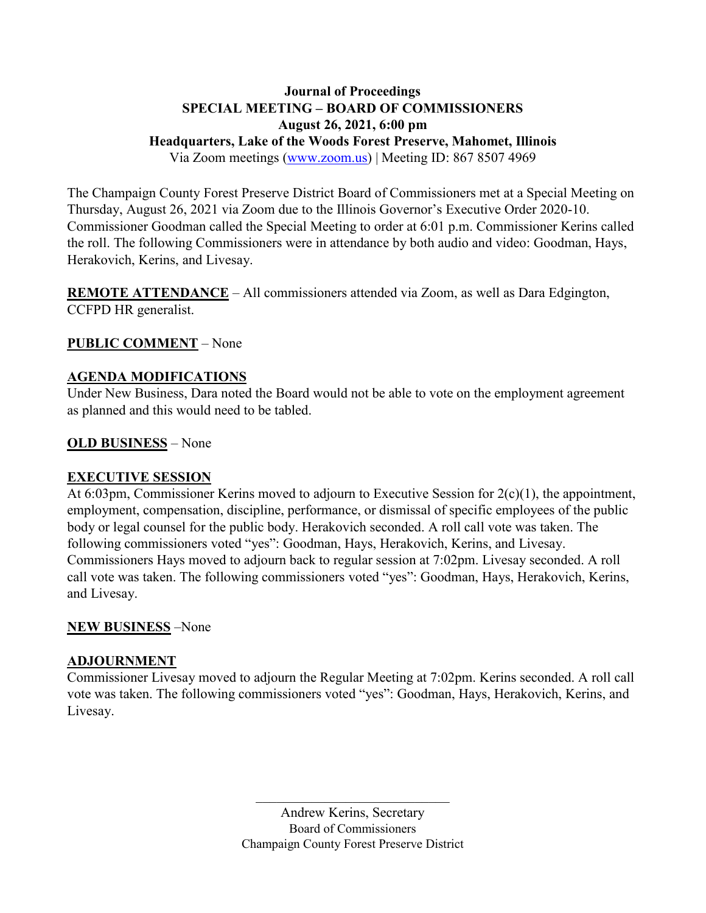# **Journal of Proceedings SPECIAL MEETING – BOARD OF COMMISSIONERS August 26, 2021, 6:00 pm Headquarters, Lake of the Woods Forest Preserve, Mahomet, Illinois**

Via Zoom meetings [\(www.zoom.us\)](http://www.zoom.us/) | Meeting ID: 867 8507 4969

The Champaign County Forest Preserve District Board of Commissioners met at a Special Meeting on Thursday, August 26, 2021 via Zoom due to the Illinois Governor's Executive Order 2020-10. Commissioner Goodman called the Special Meeting to order at 6:01 p.m. Commissioner Kerins called the roll. The following Commissioners were in attendance by both audio and video: Goodman, Hays, Herakovich, Kerins, and Livesay.

**REMOTE ATTENDANCE** – All commissioners attended via Zoom, as well as Dara Edgington, CCFPD HR generalist.

# **PUBLIC COMMENT** – None

### **AGENDA MODIFICATIONS**

Under New Business, Dara noted the Board would not be able to vote on the employment agreement as planned and this would need to be tabled.

### **OLD BUSINESS** – None

### **EXECUTIVE SESSION**

At 6:03pm, Commissioner Kerins moved to adjourn to Executive Session for 2(c)(1), the appointment, employment, compensation, discipline, performance, or dismissal of specific employees of the public body or legal counsel for the public body. Herakovich seconded. A roll call vote was taken. The following commissioners voted "yes": Goodman, Hays, Herakovich, Kerins, and Livesay. Commissioners Hays moved to adjourn back to regular session at 7:02pm. Livesay seconded. A roll call vote was taken. The following commissioners voted "yes": Goodman, Hays, Herakovich, Kerins, and Livesay.

### **NEW BUSINESS** –None

### **ADJOURNMENT**

Commissioner Livesay moved to adjourn the Regular Meeting at 7:02pm. Kerins seconded. A roll call vote was taken. The following commissioners voted "yes": Goodman, Hays, Herakovich, Kerins, and Livesay.